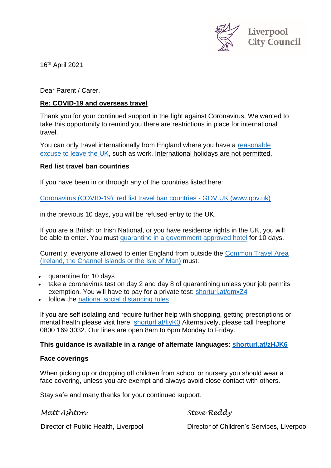

16th April 2021

Dear Parent / Carer,

# **Re: COVID-19 and overseas travel**

Thank you for your continued support in the fight against Coronavirus. We wanted to take this opportunity to remind you there are restrictions in place for international travel.

You can only travel internationally from England where you have a [reasonable](https://www.gov.uk/guidance/coronavirus-covid-19-declaration-form-for-international-travel) [excuse](https://www.gov.uk/guidance/coronavirus-covid-19-declaration-form-for-international-travel) to leave the UK, such as work. International holidays are not permitted.

## **Red list travel ban countries**

If you have been in or through any of the countries listed here:

[Coronavirus \(COVID-19\): red list travel ban countries -](https://www.gov.uk/guidance/transport-measures-to-protect-the-uk-from-variant-strains-of-covid-19#travel-bans-to-the-uk---banned-countries) GOV.UK (www.gov.uk)

in the previous 10 days, you will be refused entry to the UK.

If you are a British or Irish National, or you have residence rights in the UK, you will be able to enter. You must quarantine in a [government](https://www.gov.uk/guidance/booking-and-staying-in-a-quarantine-hotel-when-you-arrive-in-england) approved hotel for 10 days.

Currently, everyone allowed to enter England from outside the [Common](https://www.gov.uk/government/publications/common-travel-area-guidance) Travel Area (Ireland, the [Channel](https://www.gov.uk/government/publications/common-travel-area-guidance) Islands or the Isle of Man) must:

- quarantine for 10 days
- take a coronavirus test on day 2 and day 8 of quarantining unless your job permits exemption. You will have to pay for a private test: [shorturl.at/gmxZ4](https://www.gov.uk/guidance/coronavirus-covid-19-testing-for-people-travelling-to-england?step-by-step-nav=8c0c7b83-5e0b-4bed-9121-1c394e2f96f3)
- follow the national social [distancing](https://www.gov.uk/guidance/covid-19-coronavirus-restrictions-what-you-can-and-cannot-do) rules

If you are self isolating and require further help with shopping, getting prescriptions or mental health please visit here: [shorturl.at/fjyK0](https://liverpool.gov.uk/communities-and-safety/emergency-planning/coronavirus/help-for-people-and-communities/ask-for-help/) Alternatively, please call freephone 0800 169 3032. Our lines are open 8am to 6pm Monday to Friday.

## **This guidance is available in a range of alternate languages: [shorturl.at/zHJK6](https://www.gov.uk/guidance/covid-19-coronavirus-restrictions-what-you-can-and-cannot-do)**

#### **Face coverings**

When picking up or dropping off children from school or nursery you should wear a face covering, unless you are exempt and always avoid close contact with others.

Stay safe and many thanks for your continued support.

*Matt Ashton*

*Steve Reddy*

Director of Public Health, Liverpool

Director of Children's Services, Liverpool